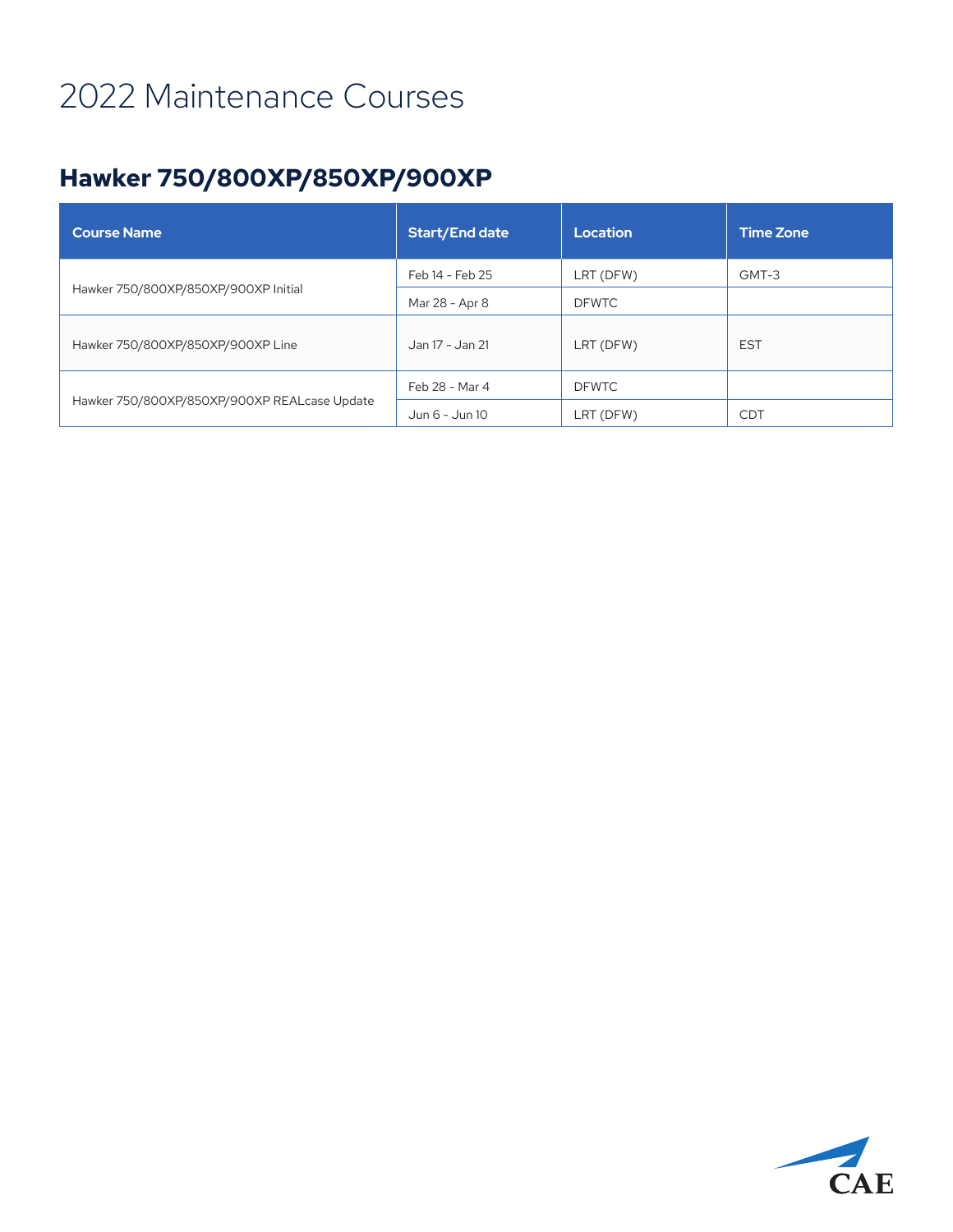#### **Hawker 750/800XP/850XP/900XP**

| <b>Course Name</b>                           | <b>Start/End date</b> | Location     | <b>Time Zone</b> |
|----------------------------------------------|-----------------------|--------------|------------------|
| Hawker 750/800XP/850XP/900XP Initial         | Feb 14 - Feb 25       | LRT (DFW)    | GMT-3            |
|                                              | Mar 28 - Apr 8        | <b>DFWTC</b> |                  |
| Hawker 750/800XP/850XP/900XP Line            | Jan 17 - Jan 21       | LRT (DFW)    | <b>EST</b>       |
| Hawker 750/800XP/850XP/900XP REALcase Update | Feb 28 - Mar 4        | <b>DFWTC</b> |                  |
|                                              | Jun 6 - Jun 10        | LRT (DFW)    | <b>CDT</b>       |

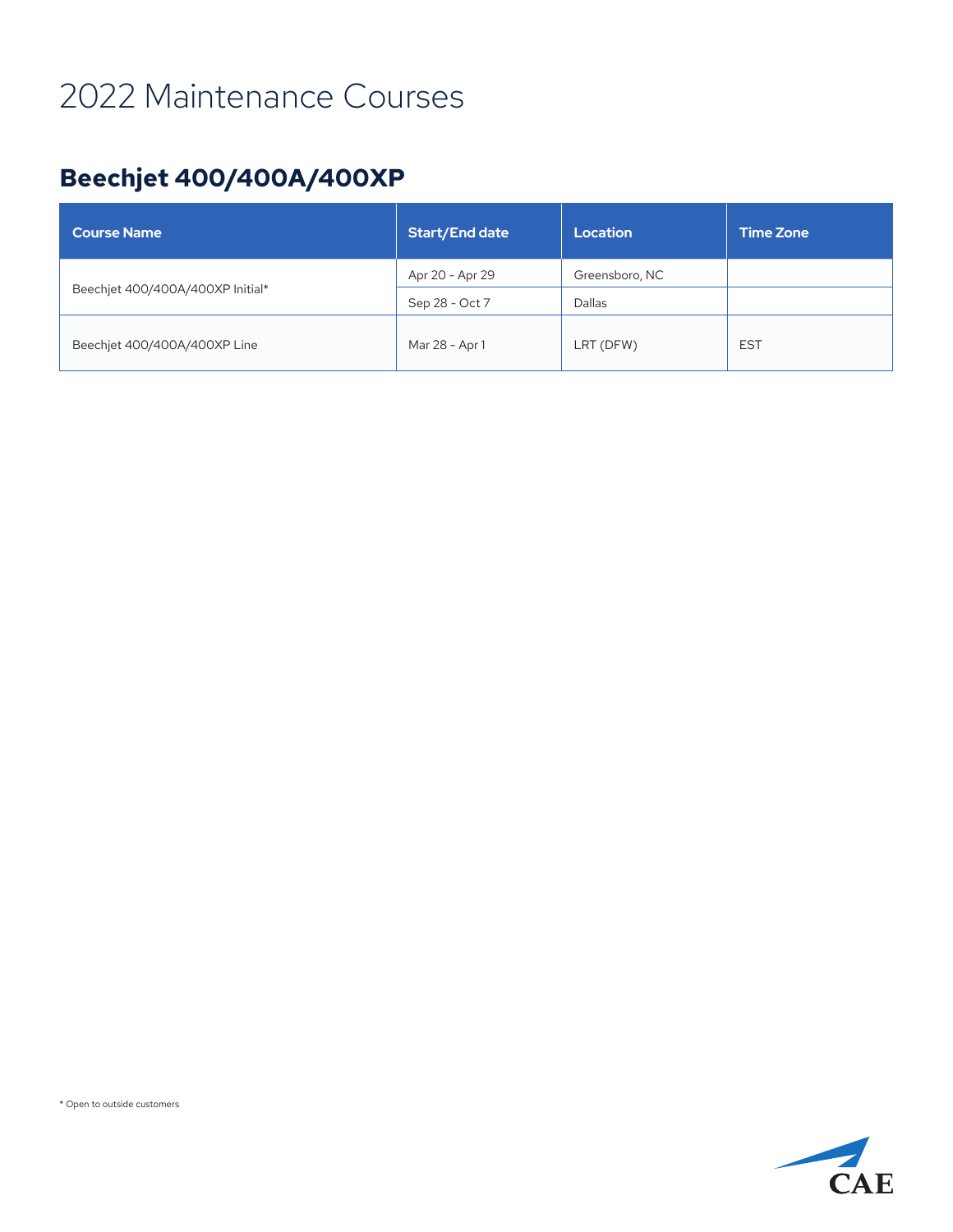#### **Beechjet 400/400A/400XP**

| <b>Course Name</b>               | <b>Start/End date</b> | Location       | <b>Time Zone</b> |
|----------------------------------|-----------------------|----------------|------------------|
| Beechjet 400/400A/400XP Initial* | Apr 20 - Apr 29       | Greensboro, NC |                  |
|                                  | Sep 28 - Oct 7        | Dallas         |                  |
| Beechjet 400/400A/400XP Line     | Mar 28 - Apr 1        | LRT (DFW)      | <b>EST</b>       |

\* Open to outside customers

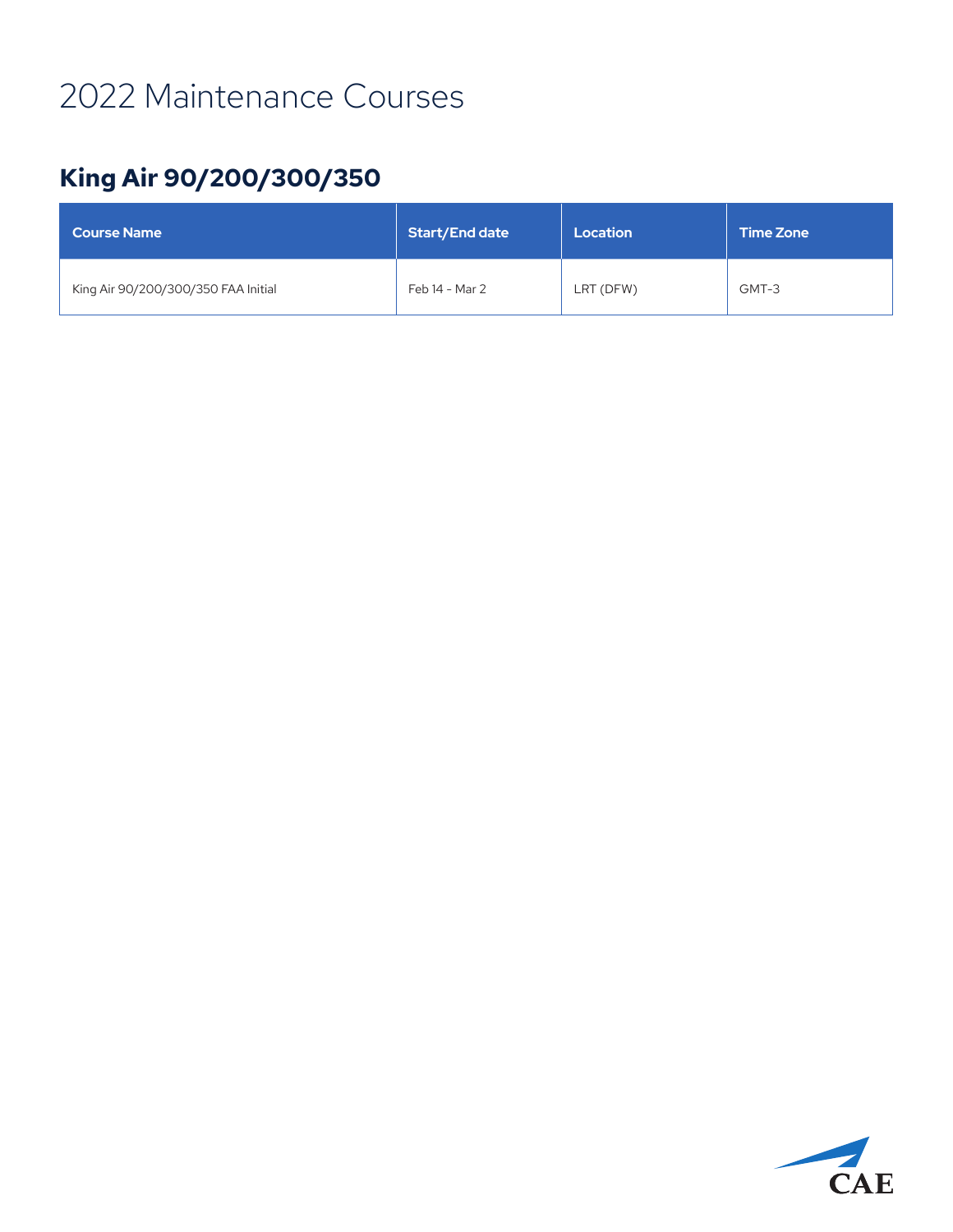#### **King Air 90/200/300/350**

| <b>Course Name</b>                  | <b>Start/End date</b> | Location  | <b>Time Zone</b> |
|-------------------------------------|-----------------------|-----------|------------------|
| King Air 90/200/300/350 FAA Initial | Feb 14 - Mar 2        | LRT (DFW) | GMT-3            |